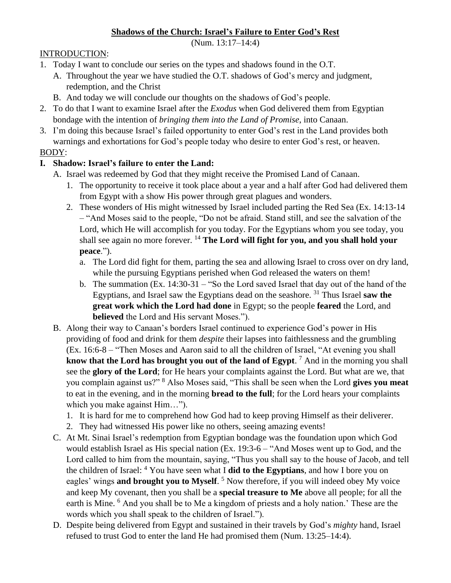## **Shadows of the Church: Israel's Failure to Enter God's Rest**

(Num. 13:17–14:4)

#### INTRODUCTION:

- 1. Today I want to conclude our series on the types and shadows found in the O.T.
	- A. Throughout the year we have studied the O.T. shadows of God's mercy and judgment, redemption, and the Christ
	- B. And today we will conclude our thoughts on the shadows of God's people.
- 2. To do that I want to examine Israel after the *Exodus* when God delivered them from Egyptian bondage with the intention of *bringing them into the Land of Promise*, into Canaan.
- 3. I'm doing this because Israel's failed opportunity to enter God's rest in the Land provides both warnings and exhortations for God's people today who desire to enter God's rest, or heaven.

#### BODY:

## **I. Shadow: Israel's failure to enter the Land:**

- A. Israel was redeemed by God that they might receive the Promised Land of Canaan.
	- 1. The opportunity to receive it took place about a year and a half after God had delivered them from Egypt with a show His power through great plagues and wonders.
	- 2. These wonders of His might witnessed by Israel included parting the Red Sea (Ex. 14:13-14 – "And Moses said to the people, "Do not be afraid. Stand still, and see the salvation of the Lord, which He will accomplish for you today. For the Egyptians whom you see today, you shall see again no more forever. <sup>14</sup> The Lord will fight for you, and you shall hold your **peace**.").
		- a. The Lord did fight for them, parting the sea and allowing Israel to cross over on dry land, while the pursuing Egyptians perished when God released the waters on them!
		- b. The summation (Ex. 14:30-31 "So the Lord saved Israel that day out of the hand of the Egyptians, and Israel saw the Egyptians dead on the seashore. <sup>31</sup> Thus Israel **saw the great work which the Lord had done** in Egypt; so the people **feared** the Lord, and **believed** the Lord and His servant Moses.").
- B. Along their way to Canaan's borders Israel continued to experience God's power in His providing of food and drink for them *despite* their lapses into faithlessness and the grumbling (Ex. 16:6-8 – "Then Moses and Aaron said to all the children of Israel, "At evening you shall **know that the Lord has brought you out of the land of Egypt**. <sup>7</sup> And in the morning you shall see the **glory of the Lord**; for He hears your complaints against the Lord. But what are we, that you complain against us?" <sup>8</sup> Also Moses said, "This shall be seen when the Lord **gives you meat**  to eat in the evening, and in the morning **bread to the full**; for the Lord hears your complaints which you make against Him…").
	- 1. It is hard for me to comprehend how God had to keep proving Himself as their deliverer.
	- 2. They had witnessed His power like no others, seeing amazing events!
- C. At Mt. Sinai Israel's redemption from Egyptian bondage was the foundation upon which God would establish Israel as His special nation (Ex. 19:3-6 – "And Moses went up to God, and the Lord called to him from the mountain, saying, "Thus you shall say to the house of Jacob, and tell the children of Israel: <sup>4</sup> You have seen what I **did to the Egyptians**, and how I bore you on eagles' wings **and brought you to Myself**. <sup>5</sup> Now therefore, if you will indeed obey My voice and keep My covenant, then you shall be a **special treasure to Me** above all people; for all the earth is Mine. <sup>6</sup> And you shall be to Me a kingdom of priests and a holy nation.' These are the words which you shall speak to the children of Israel.").
- D. Despite being delivered from Egypt and sustained in their travels by God's *mighty* hand, Israel refused to trust God to enter the land He had promised them (Num. 13:25–14:4).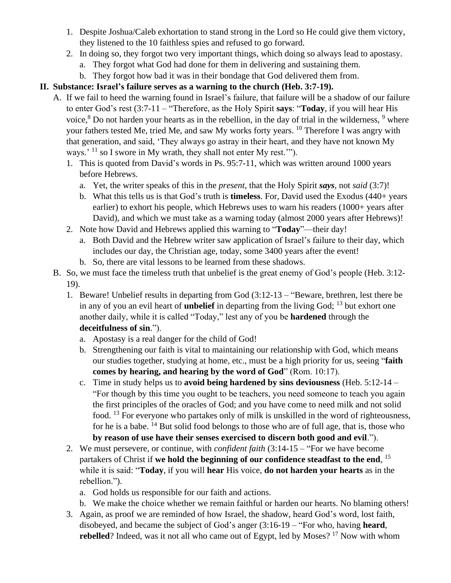- 1. Despite Joshua/Caleb exhortation to stand strong in the Lord so He could give them victory, they listened to the 10 faithless spies and refused to go forward.
- 2. In doing so, they forgot two very important things, which doing so always lead to apostasy.
	- a. They forgot what God had done for them in delivering and sustaining them.
	- b. They forgot how bad it was in their bondage that God delivered them from.

# **II. Substance: Israel's failure serves as a warning to the church (Heb. 3:7-19).**

- A. If we fail to heed the warning found in Israel's failure, that failure will be a shadow of our failure to enter God's rest (3:7-11 – "Therefore, as the Holy Spirit **says**: "**Today**, if you will hear His voice, $8$  Do not harden your hearts as in the rebellion, in the day of trial in the wilderness,  $9$  where your fathers tested Me, tried Me, and saw My works forty years. <sup>10</sup> Therefore I was angry with that generation, and said, 'They always go astray in their heart, and they have not known My ways.<sup> $11$ </sup> so I swore in My wrath, they shall not enter My rest.<sup>'''</sup>).
	- 1. This is quoted from David's words in Ps. 95:7-11, which was written around 1000 years before Hebrews.
		- a. Yet, the writer speaks of this in the *present*, that the Holy Spirit *says*, not *said* (3:7)!
		- b. What this tells us is that God's truth is **timeless**. For, David used the Exodus (440+ years earlier) to exhort his people, which Hebrews uses to warn his readers (1000+ years after David), and which we must take as a warning today (almost 2000 years after Hebrews)!
	- 2. Note how David and Hebrews applied this warning to "**Today**"—their day!
		- a. Both David and the Hebrew writer saw application of Israel's failure to their day, which includes our day, the Christian age, today, some 3400 years after the event!
		- b. So, there are vital lessons to be learned from these shadows.
- B. So, we must face the timeless truth that unbelief is the great enemy of God's people (Heb. 3:12- 19).
	- 1. Beware! Unbelief results in departing from God (3:12-13 "Beware, brethren, lest there be in any of you an evil heart of **unbelief** in departing from the living God; <sup>13</sup> but exhort one another daily, while it is called "Today," lest any of you be **hardened** through the **deceitfulness of sin**.").
		- a. Apostasy is a real danger for the child of God!
		- b. Strengthening our faith is vital to maintaining our relationship with God, which means our studies together, studying at home, etc., must be a high priority for us, seeing "**faith comes by hearing, and hearing by the word of God**" (Rom. 10:17).
		- c. Time in study helps us to **avoid being hardened by sins deviousness** (Heb. 5:12-14 "For though by this time you ought to be teachers, you need someone to teach you again the first principles of the oracles of God; and you have come to need milk and not solid food. <sup>13</sup> For everyone who partakes only of milk is unskilled in the word of righteousness, for he is a babe.  $^{14}$  But solid food belongs to those who are of full age, that is, those who **by reason of use have their senses exercised to discern both good and evil**.").
	- 2. We must persevere, or continue, with *confident faith* (3:14-15 "For we have become partakers of Christ if **we hold the beginning of our confidence steadfast to the end**, 15 while it is said: "**Today**, if you will **hear** His voice, **do not harden your hearts** as in the rebellion.").
		- a. God holds us responsible for our faith and actions.
		- b. We make the choice whether we remain faithful or harden our hearts. No blaming others!
	- 3. Again, as proof we are reminded of how Israel, the shadow, heard God's word, lost faith, disobeyed, and became the subject of God's anger (3:16-19 – "For who, having **heard**, **rebelled**? Indeed, was it not all who came out of Egypt, led by Moses? <sup>17</sup> Now with whom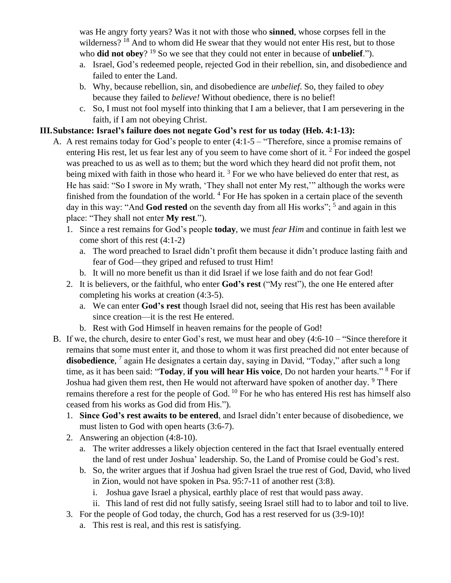was He angry forty years? Was it not with those who **sinned**, whose corpses fell in the wilderness? <sup>18</sup> And to whom did He swear that they would not enter His rest, but to those who **did not obey**? <sup>19</sup> So we see that they could not enter in because of **unbelief**.").

- a. Israel, God's redeemed people, rejected God in their rebellion, sin, and disobedience and failed to enter the Land.
- b. Why, because rebellion, sin, and disobedience are *unbelief*. So, they failed to *obey*  because they failed to *believe!* Without obedience, there is no belief!
- c. So, I must not fool myself into thinking that I am a believer, that I am persevering in the faith, if I am not obeying Christ.

#### **III.Substance: Israel's failure does not negate God's rest for us today (Heb. 4:1-13):**

- A. A rest remains today for God's people to enter (4:1-5 "Therefore, since a promise remains of entering His rest, let us fear lest any of you seem to have come short of it.  $2^{\circ}$  For indeed the gospel was preached to us as well as to them; but the word which they heard did not profit them, not being mixed with faith in those who heard it.<sup>3</sup> For we who have believed do enter that rest, as He has said: "So I swore in My wrath, 'They shall not enter My rest,'" although the works were finished from the foundation of the world.  $4$  For He has spoken in a certain place of the seventh day in this way: "And God rested on the seventh day from all His works"; <sup>5</sup> and again in this place: "They shall not enter **My rest**.").
	- 1. Since a rest remains for God's people **today**, we must *fear Him* and continue in faith lest we come short of this rest (4:1-2)
		- a. The word preached to Israel didn't profit them because it didn't produce lasting faith and fear of God—they griped and refused to trust Him!
		- b. It will no more benefit us than it did Israel if we lose faith and do not fear God!
	- 2. It is believers, or the faithful, who enter **God's rest** ("My rest"), the one He entered after completing his works at creation (4:3-5).
		- a. We can enter **God's rest** though Israel did not, seeing that His rest has been available since creation—it is the rest He entered.
		- b. Rest with God Himself in heaven remains for the people of God!
- B. If we, the church, desire to enter God's rest, we must hear and obey (4:6-10 "Since therefore it remains that some must enter it, and those to whom it was first preached did not enter because of **disobedience**, 7 again He designates a certain day, saying in David, "Today," after such a long time, as it has been said: "**Today**, **if you will hear His voice**, Do not harden your hearts." <sup>8</sup> For if Joshua had given them rest, then He would not afterward have spoken of another day. <sup>9</sup> There remains therefore a rest for the people of God. <sup>10</sup> For he who has entered His rest has himself also ceased from his works as God did from His.").
	- 1. **Since God's rest awaits to be entered**, and Israel didn't enter because of disobedience, we must listen to God with open hearts (3:6-7).
	- 2. Answering an objection (4:8-10).
		- a. The writer addresses a likely objection centered in the fact that Israel eventually entered the land of rest under Joshua' leadership. So, the Land of Promise could be God's rest.
		- b. So, the writer argues that if Joshua had given Israel the true rest of God, David, who lived in Zion, would not have spoken in Psa. 95:7-11 of another rest (3:8).
			- i. Joshua gave Israel a physical, earthly place of rest that would pass away.
			- ii. This land of rest did not fully satisfy, seeing Israel still had to to labor and toil to live.
	- 3. For the people of God today, the church, God has a rest reserved for us (3:9-10)!
		- a. This rest is real, and this rest is satisfying.